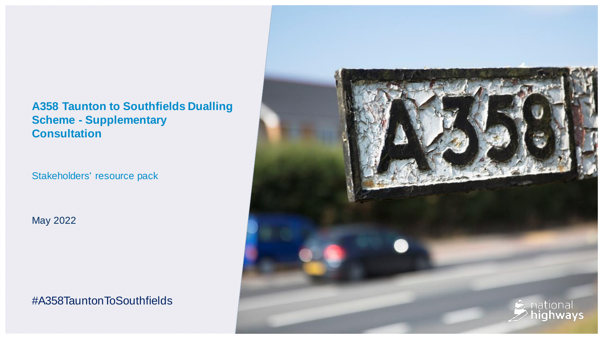## **A358 Taunton to Southfields Dualling Scheme - Supplementary Consultation**

Stakeholders' resource pack

May 2022

#A358TauntonToSouthfields

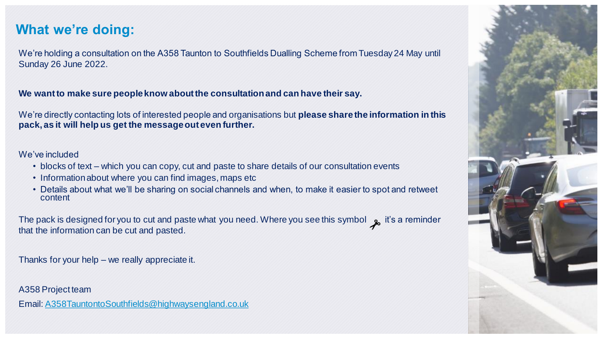# **What we're doing:**

We're holding a consultation on the A358 Taunton to Southfields Dualling Scheme from Tuesday 24 May until Sunday 26 June 2022.

#### **We want to make sure people know about the consultation and can have their say.**

We're directly contacting lots of interested people and organisations but **please share the information in this pack, as it will help us get the message out even further.**

#### We've included

- blocks of text which you can copy, cut and paste to share details of our consultation events
- Information about where you can find images, maps etc
- Details about what we'll be sharing on social channels and when, to make it easier to spot and retweet content

The pack is designed for you to cut and paste what you need. Where you see this symbol  $\phi$  it's a reminder that the information can be cut and pasted.

Thanks for your help – we really appreciate it.

A358 Project team

Email: [A358TauntontoSouthfields@highwaysengland.co.uk](mailto:A358TauntontoSouthfields@highwaysengland.co.uk)

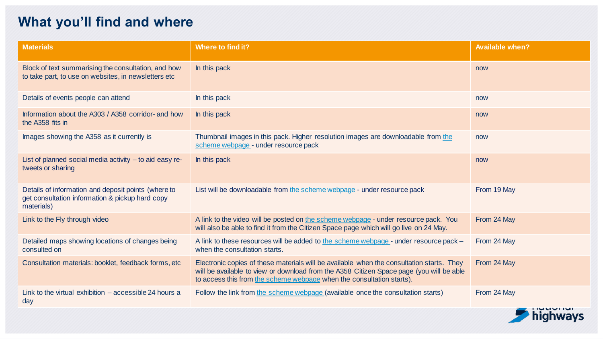# **What you'll find and where**

| <b>Materials</b>                                                                                                     | <b>Where to find it?</b>                                                                                                                                                                                                                                       | <b>Available when?</b> |
|----------------------------------------------------------------------------------------------------------------------|----------------------------------------------------------------------------------------------------------------------------------------------------------------------------------------------------------------------------------------------------------------|------------------------|
| Block of text summarising the consultation, and how<br>to take part, to use on websites, in newsletters etc          | In this pack                                                                                                                                                                                                                                                   | now                    |
| Details of events people can attend                                                                                  | In this pack                                                                                                                                                                                                                                                   | now                    |
| Information about the A303 / A358 corridor- and how<br>the A358 fits in                                              | In this pack                                                                                                                                                                                                                                                   | now                    |
| Images showing the A358 as it currently is                                                                           | Thumbnail images in this pack. Higher resolution images are downloadable from the<br>scheme webpage - under resource pack                                                                                                                                      | now                    |
| List of planned social media activity $-$ to aid easy re-<br>tweets or sharing                                       | In this pack                                                                                                                                                                                                                                                   | now                    |
| Details of information and deposit points (where to<br>get consultation information & pickup hard copy<br>materials) | List will be downloadable from the scheme webpage - under resource pack                                                                                                                                                                                        | From 19 May            |
| Link to the Fly through video                                                                                        | A link to the video will be posted on the scheme webpage - under resource pack. You<br>will also be able to find it from the Citizen Space page which will go live on 24 May.                                                                                  | From 24 May            |
| Detailed maps showing locations of changes being<br>consulted on                                                     | A link to these resources will be added to the scheme webpage - under resource pack -<br>when the consultation starts.                                                                                                                                         | From 24 May            |
| Consultation materials: booklet, feedback forms, etc                                                                 | Electronic copies of these materials will be available when the consultation starts. They<br>will be available to view or download from the A358 Citizen Space page (you will be able<br>to access this from the scheme webpage when the consultation starts). | From 24 May            |
| Link to the virtual exhibition $-$ accessible 24 hours a<br>day                                                      | Follow the link from the scheme webpage (available once the consultation starts)                                                                                                                                                                               | From 24 May            |

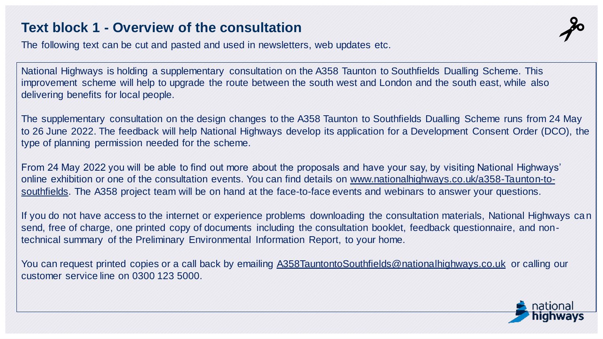# **Text block 1 - Overview of the consultation**

The following text can be cut and pasted and used in newsletters, web updates etc.

National Highways is holding a supplementary consultation on the A358 Taunton to Southfields Dualling Scheme. This improvement scheme will help to upgrade the route between the south west and London and the south east, while also delivering benefits for local people.

The supplementary consultation on the design changes to the A358 Taunton to Southfields Dualling Scheme runs from 24 May to 26 June 2022. The feedback will help National Highways develop its application for a Development Consent Order (DCO), the type of planning permission needed for the scheme.

From 24 May 2022 you will be able to find out more about the proposals and have your say, by visiting National Highways' online exhibition or one of the consultation events. You can find details on www.nationalhighways.co.uk/a358-Taunton-to[southfields. The A358 project team will be on hand at the face-to-face events and webinars to answer your questions.](http://www.nationalhighways.co.uk/a358-Taunton-to-southfields)

If you do not have access to the internet or experience problems downloading the consultation materials, National Highways can send, free of charge, one printed copy of documents including the consultation booklet, feedback questionnaire, and nontechnical summary of the Preliminary Environmental Information Report, to your home.

You can request printed copies or a call back by emailing [A358TauntontoSouthfields@nationalhighways.co.uk](mailto:A358TauntontoSouthfields@nationalhighways.co.uk) or calling our customer service line on 0300 123 5000.

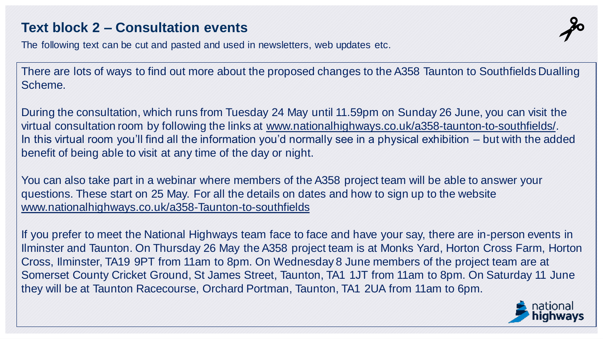# **Text block 2 – Consultation events**

The following text can be cut and pasted and used in newsletters, web updates etc.

There are lots of ways to find out more about the proposed changes to the A358 Taunton to Southfields Dualling Scheme.

During the consultation, which runs from Tuesday 24 May until 11.59pm on Sunday 26 June, you can visit the virtual consultation room by following the links at [www.nationalhighways.co.uk/a358-taunton-to-southfields/.](http://www.nationalhighways.co.uk/a358-taunton-to-southfields/) In this virtual room you'll find all the information you'd normally see in a physical exhibition – but with the added benefit of being able to visit at any time of the day or night.

You can also take part in a webinar where members of the A358 project team will be able to answer your questions. These start on 25 May. For all the details on dates and how to sign up to the website [www.nationalhighways.co.uk/a358-Taunton-to-southfields](http://www.nationalhighways.co.uk/a358-Taunton-to-southfields)

If you prefer to meet the National Highways team face to face and have your say, there are in-person events in Ilminster and Taunton. On Thursday 26 May the A358 project team is at Monks Yard, Horton Cross Farm, Horton Cross, Ilminster, TA19 9PT from 11am to 8pm. On Wednesday 8 June members of the project team are at Somerset County Cricket Ground, St James Street, Taunton, TA1 1JT from 11am to 8pm. On Saturday 11 June they will be at Taunton Racecourse, Orchard Portman, Taunton, TA1 2UA from 11am to 6pm.

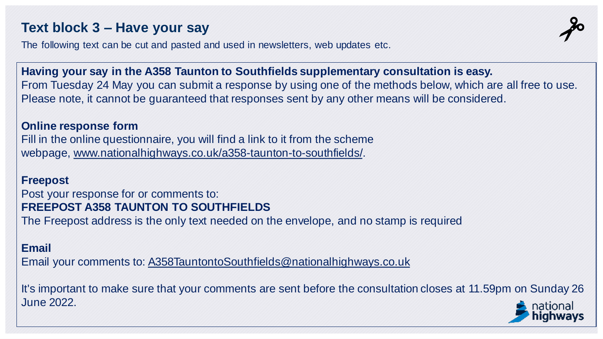# **Text block 3 – Have your say**

The following text can be cut and pasted and used in newsletters, web updates etc.

**Having your say in the A358 Taunton to Southfields supplementary consultation is easy.** From Tuesday 24 May you can submit a response by using one of the methods below, which are all free to use. Please note, it cannot be guaranteed that responses sent by any other means will be considered.

#### **Online response form**

Fill in the online questionnaire, you will find a link to it from the scheme webpage, [www.nationalhighways.co.uk/a358-taunton-to-southfields/.](http://www.nationalhighways.co.uk/a358-taunton-to-southfields/)

#### **Freepost**

## Post your response for or comments to: **FREEPOST A358 TAUNTON TO SOUTHFIELDS**

The Freepost address is the only text needed on the envelope, and no stamp is required

## **Email**

Email your comments to: [A358TauntontoSouthfields@nationalhighways.co.uk](mailto:A358TauntontoSouthfields@nationalhighways.co.uk)

It's important to make sure that your comments are sent before the consultation closes at 11.59pm on Sunday 26 June 2022.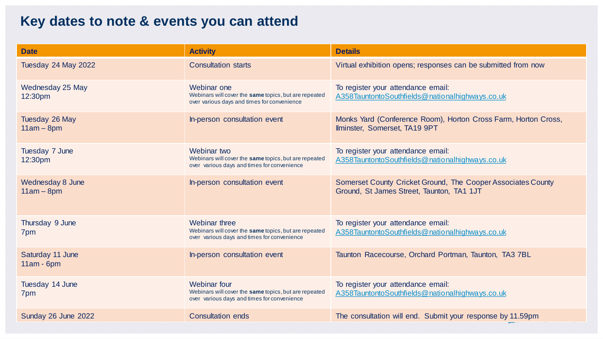# **Key dates to note & events you can attend**

| <b>Date</b>                             | <b>Activity</b>                                                                                                              | <b>Details</b>                                                                                            |
|-----------------------------------------|------------------------------------------------------------------------------------------------------------------------------|-----------------------------------------------------------------------------------------------------------|
| Tuesday 24 May 2022                     | <b>Consultation starts</b>                                                                                                   | Virtual exhibition opens; responses can be submitted from now                                             |
| Wednesday 25 May<br>12:30pm             | Webinar one<br>Webinars will cover the same topics, but are repeated<br>over various days and times for convenience          | To register your attendance email:<br>A358TauntontoSouthfields@nationalhighways.co.uk                     |
| Tuesday 26 May<br>$11am - 8pm$          | In-person consultation event                                                                                                 | Monks Yard (Conference Room), Horton Cross Farm, Horton Cross,<br>Ilminster, Somerset, TA19 9PT           |
| Tuesday 7 June<br>12:30pm               | Webinar two<br>Webinars will cover the same topics, but are repeated<br>over various days and times for convenience          | To register your attendance email:<br>A358TauntontoSouthfields@nationalhighways.co.uk                     |
| <b>Wednesday 8 June</b><br>$11am - 8pm$ | In-person consultation event                                                                                                 | Somerset County Cricket Ground, The Cooper Associates County<br>Ground, St James Street, Taunton, TA1 1JT |
| Thursday 9 June<br>7pm                  | <b>Webinar three</b><br>Webinars will cover the same topics, but are repeated<br>over various days and times for convenience | To register your attendance email:<br>A358TauntontoSouthfields@nationalhighways.co.uk                     |
| Saturday 11 June<br>$11am - 6pm$        | In-person consultation event                                                                                                 | Taunton Racecourse, Orchard Portman, Taunton, TA3 7BL                                                     |
| Tuesday 14 June<br>7pm                  | <b>Webinar four</b><br>Webinars will cover the same topics, but are repeated<br>over various days and times for convenience  | To register your attendance email:<br>A358TauntontoSouthfields@nationalhighways.co.uk                     |
| Sunday 26 June 2022                     | <b>Consultation ends</b>                                                                                                     | The consultation will end. Submit your response by 11.59pm                                                |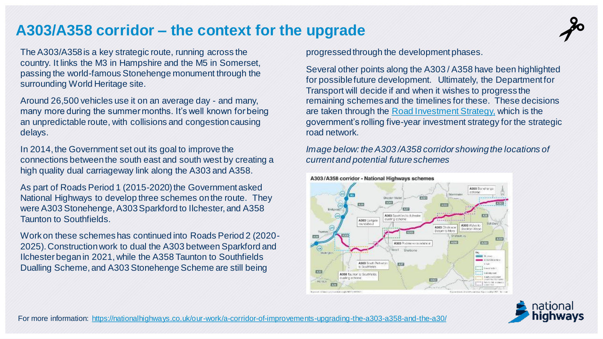# **A303/A358 corridor – the context for the upgrade**

The A303/A358 is a key strategic route, running across the country. It links the M3 in Hampshire and the M5 in Somerset, passing the world-famous Stonehenge monument through the surrounding World Heritage site.

Around 26,500 vehicles use it on an average day - and many, many more during the summer months. It's well known for being an unpredictable route, with collisions and congestion causing delays.

In 2014, the Government set out its goal to improve the connections between the south east and south west by creating a high quality dual carriageway link along the A303 and A358.

As part of Roads Period 1 (2015-2020) the Government asked National Highways to develop three schemes on the route. They were A303 Stonehenge, A303 Sparkford to Ilchester, and A358 Taunton to Southfields.

Work on these schemes has continued into Roads Period 2 (2020- 2025). Construction work to dual the A303 between Sparkford and Ilchester began in 2021, while the A358 Taunton to Southfields Dualling Scheme, and A303 Stonehenge Scheme are still being

progressed through the development phases.

Several other points along the A303 / A358 have been highlighted for possible future development. Ultimately, the Department for Transport will decide if and when it wishes to progress the remaining schemes and the timelines for these. These decisions are taken through the [Road Investment Strategy,](https://www.gov.uk/government/publications/preparing-the-third-road-investment-strategy) which is the government's rolling five-year investment strategy for the strategic road network.

*Image below: the A303 /A358 corridor showing the locations of current and potential future schemes*



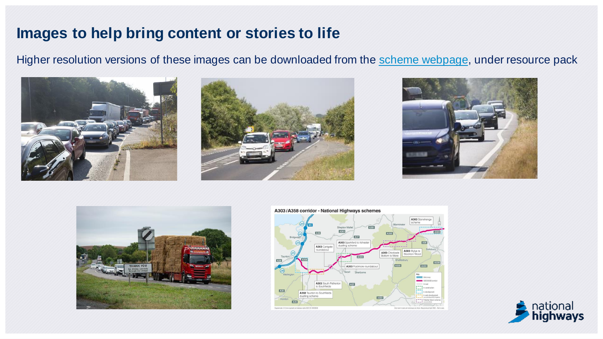# **Images to help bring content or stories to life**

Higher resolution versions of these images can be downloaded from the [scheme webpage,](https://nationalhighways.co.uk/our-work/south-west/a358-taunton-to-southfields/) under resource pack











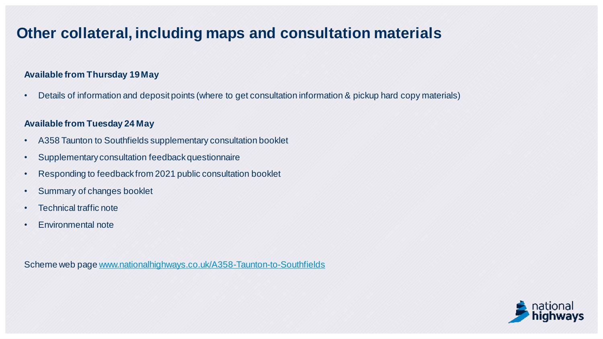# **Other collateral, including maps and consultation materials**

#### **Available from Thursday 19 May**

• Details of information and deposit points (where to get consultation information & pickup hard copy materials)

#### **Available from Tuesday 24 May**

- A358 Taunton to Southfields supplementary consultation booklet
- Supplementary consultation feedback questionnaire
- Responding to feedback from 2021 public consultation booklet
- Summary of changes booklet
- Technical traffic note
- Environmental note

Scheme web page [www.nationalhighways.co.uk/A358-Taunton-to-Southfields](http://www.nationalhighways.co.uk/A358-Taunton-to-Southfields)

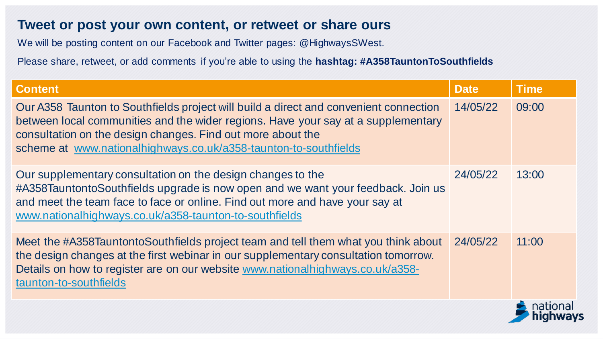We will be posting content on our Facebook and Twitter pages: @HighwaysSWest.

| <b>Content</b>                                                                                                                                                                                                                                                                                                | <b>Date</b> | <b>Time</b> |
|---------------------------------------------------------------------------------------------------------------------------------------------------------------------------------------------------------------------------------------------------------------------------------------------------------------|-------------|-------------|
| Our A358 Taunton to Southfields project will build a direct and convenient connection<br>between local communities and the wider regions. Have your say at a supplementary<br>consultation on the design changes. Find out more about the<br>scheme at www.nationalhighways.co.uk/a358-taunton-to-southfields | 14/05/22    | 09:00       |
| Our supplementary consultation on the design changes to the<br>#A358TauntontoSouthfields upgrade is now open and we want your feedback. Join us<br>and meet the team face to face or online. Find out more and have your say at<br>www.nationalhighways.co.uk/a358-taunton-to-southfields                     | 24/05/22    | 13:00       |
| Meet the #A358TauntontoSouthfields project team and tell them what you think about<br>the design changes at the first webinar in our supplementary consultation tomorrow.<br>Details on how to register are on our website www.nationalhighways.co.uk/a358-<br>taunton-to-southfields                         | 24/05/22    | 11:00       |
|                                                                                                                                                                                                                                                                                                               |             |             |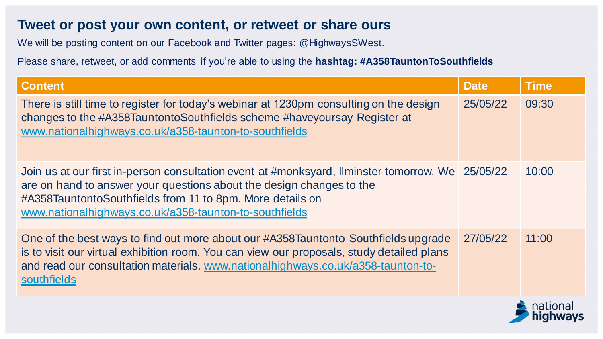We will be posting content on our Facebook and Twitter pages: @HighwaysSWest.

| <b>Content</b>                                                                                                                                                                                                                                                                                  | <b>Date</b> | <b>Time</b> |
|-------------------------------------------------------------------------------------------------------------------------------------------------------------------------------------------------------------------------------------------------------------------------------------------------|-------------|-------------|
| There is still time to register for today's webinar at 1230pm consulting on the design<br>changes to the #A358TauntontoSouthfields scheme #haveyoursay Register at<br>www.nationalhighways.co.uk/a358-taunton-to-southfields                                                                    | 25/05/22    | 09:30       |
| Join us at our first in-person consultation event at #monksyard, Ilminster tomorrow. We 25/05/22<br>are on hand to answer your questions about the design changes to the<br>#A358TauntontoSouthfields from 11 to 8pm. More details on<br>www.nationalhighways.co.uk/a358-taunton-to-southfields |             | 10:00       |
| One of the best ways to find out more about our #A358Tauntonto Southfields upgrade<br>is to visit our virtual exhibition room. You can view our proposals, study detailed plans<br>and read our consultation materials. www.nationalhighways.co.uk/a358-taunton-to-<br>southfields              | 27/05/22    | 11:00       |

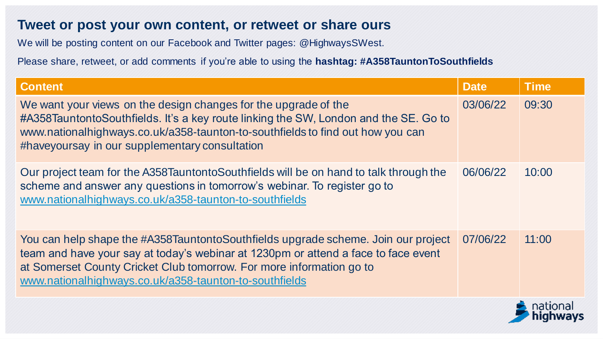We will be posting content on our Facebook and Twitter pages: @HighwaysSWest.

Please share, retweet, or add comments if you're able to using the **hashtag: #A358TauntonToSouthfields**

| <b>Content</b>                                                                                                                                                                                                                                                                                            | <b>Date</b> | <b>Time</b> |
|-----------------------------------------------------------------------------------------------------------------------------------------------------------------------------------------------------------------------------------------------------------------------------------------------------------|-------------|-------------|
| We want your views on the design changes for the upgrade of the<br>#A358TauntontoSouthfields. It's a key route linking the SW, London and the SE. Go to<br>www.nationalhighways.co.uk/a358-taunton-to-southfields to find out how you can<br>#haveyoursay in our supplementary consultation               | 03/06/22    | 09:30       |
| Our project team for the A358TauntontoSouthfields will be on hand to talk through the<br>scheme and answer any questions in tomorrow's webinar. To register go to<br>www.nationalhighways.co.uk/a358-taunton-to-southfields                                                                               | 06/06/22    | 10:00       |
| You can help shape the #A358TauntontoSouthfields upgrade scheme. Join our project<br>team and have your say at today's webinar at 1230pm or attend a face to face event<br>at Somerset County Cricket Club tomorrow. For more information go to<br>www.nationalhighways.co.uk/a358-taunton-to-southfields | 07/06/22    | 11:00       |
|                                                                                                                                                                                                                                                                                                           |             |             |

nıgnways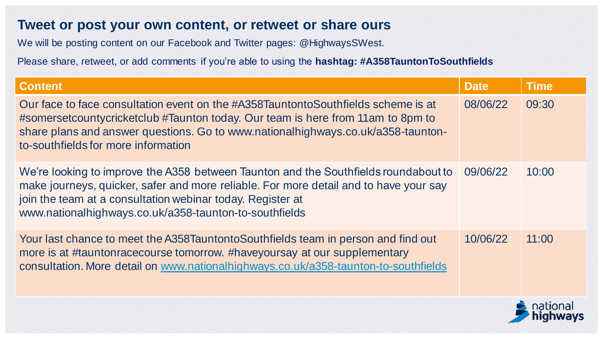We will be posting content on our Facebook and Twitter pages: @HighwaysSWest.

| <b>Content</b>                                                                                                                                                                                                                                                                                       | <b>Date</b> | <b>Time</b> |
|------------------------------------------------------------------------------------------------------------------------------------------------------------------------------------------------------------------------------------------------------------------------------------------------------|-------------|-------------|
| Our face to face consultation event on the #A358TauntontoSouthfields scheme is at<br>#somersetcountycricketclub #Taunton today. Our team is here from 11am to 8pm to<br>share plans and answer questions. Go to www.nationalhighways.co.uk/a358-taunton-<br>to-southfields for more information      | 08/06/22    | 09:30       |
| We're looking to improve the A358 between Taunton and the Southfields roundabout to<br>make journeys, quicker, safer and more reliable. For more detail and to have your say<br>join the team at a consultation webinar today. Register at<br>www.nationalhighways.co.uk/a358-taunton-to-southfields | 09/06/22    | 10:00       |
| Your last chance to meet the A358TauntontoSouthfields team in person and find out<br>more is at #tauntonracecourse tomorrow. #haveyoursay at our supplementary<br>consultation. More detail on www.nationalhighways.co.uk/a358-taunton-to-southfields                                                | 10/06/22    | 11:00       |

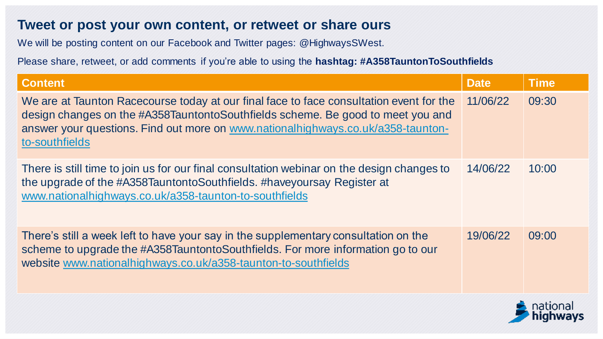We will be posting content on our Facebook and Twitter pages: @HighwaysSWest.

| <b>Content</b>                                                                                                                                                                                                                                                                   | <b>Date</b> | <b>Time</b> |
|----------------------------------------------------------------------------------------------------------------------------------------------------------------------------------------------------------------------------------------------------------------------------------|-------------|-------------|
| We are at Taunton Racecourse today at our final face to face consultation event for the<br>design changes on the #A358TauntontoSouthfields scheme. Be good to meet you and<br>answer your questions. Find out more on www.nationalhighways.co.uk/a358-taunton-<br>to-southfields | 11/06/22    | 09:30       |
| There is still time to join us for our final consultation webinar on the design changes to<br>the upgrade of the #A358TauntontoSouthfields. #haveyoursay Register at<br>www.nationalhighways.co.uk/a358-taunton-to-southfields                                                   | 14/06/22    | 10:00       |
| There's still a week left to have your say in the supplementary consultation on the<br>scheme to upgrade the #A358TauntontoSouthfields. For more information go to our<br>website www.nationalhighways.co.uk/a358-taunton-to-southfields                                         | 19/06/22    | 09:00       |

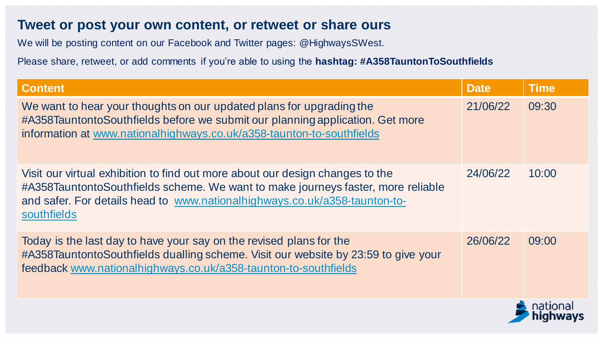We will be posting content on our Facebook and Twitter pages: @HighwaysSWest.

| <b>Content</b>                                                                                                                                                                                                                                                 | <b>Date</b> | <b>Time</b> |
|----------------------------------------------------------------------------------------------------------------------------------------------------------------------------------------------------------------------------------------------------------------|-------------|-------------|
| We want to hear your thoughts on our updated plans for upgrading the<br>#A358TauntontoSouthfields before we submit our planning application. Get more<br>information at www.nationalhighways.co.uk/a358-taunton-to-southfields                                 | 21/06/22    | 09:30       |
| Visit our virtual exhibition to find out more about our design changes to the<br>#A358TauntontoSouthfields scheme. We want to make journeys faster, more reliable<br>and safer. For details head to www.nationalhighways.co.uk/a358-taunton-to-<br>southfields | 24/06/22    | 10:00       |
| Today is the last day to have your say on the revised plans for the<br>#A358TauntontoSouthfields dualling scheme. Visit our website by 23:59 to give your<br>feedback www.nationalhighways.co.uk/a358-taunton-to-southfields                                   | 26/06/22    | 09:00       |
|                                                                                                                                                                                                                                                                |             |             |